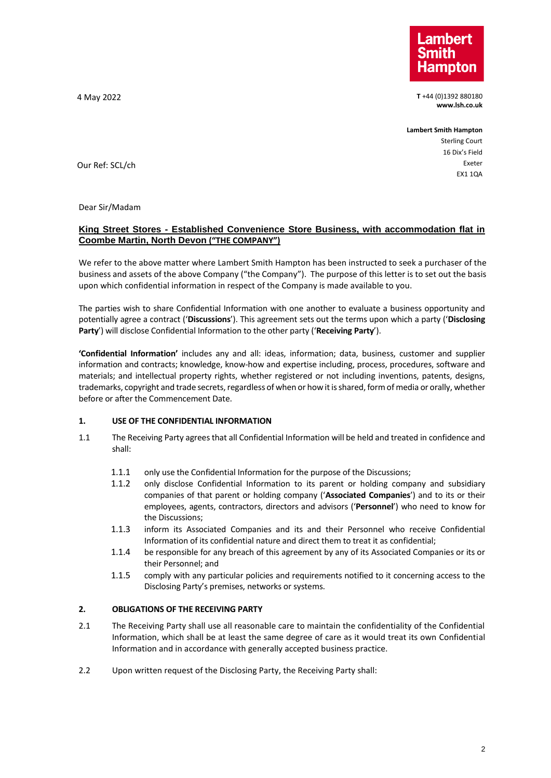

4 May 2022 **T** +44 (0)1392 880180 **www.lsh.co.uk**

**Lambert Smith Hampton**

Sterling Court 16 Dix's Field Exeter EX1 1QA

Our Ref: SCL/ch

Dear Sir/Madam

## **King Street Stores - Established Convenience Store Business, with accommodation flat in Coombe Martin, North Devon ("THE COMPANY")**

We refer to the above matter where Lambert Smith Hampton has been instructed to seek a purchaser of the business and assets of the above Company ("the Company"). The purpose of this letter is to set out the basis upon which confidential information in respect of the Company is made available to you.

The parties wish to share Confidential Information with one another to evaluate a business opportunity and potentially agree a contract ('**Discussions**'). This agreement sets out the terms upon which a party ('**Disclosing Party**') will disclose Confidential Information to the other party ('**Receiving Party**').

**'Confidential Information'** includes any and all: ideas, information; data, business, customer and supplier information and contracts; knowledge, know-how and expertise including, process, procedures, software and materials; and intellectual property rights, whether registered or not including inventions, patents, designs, trademarks, copyright and trade secrets, regardless of when or how it is shared, form of media or orally, whether before or after the Commencement Date.

# **1. USE OF THE CONFIDENTIAL INFORMATION**

- 1.1 The Receiving Party agrees that all Confidential Information will be held and treated in confidence and shall:
	- 1.1.1 only use the Confidential Information for the purpose of the Discussions;
	- 1.1.2 only disclose Confidential Information to its parent or holding company and subsidiary companies of that parent or holding company ('**Associated Companies**') and to its or their employees, agents, contractors, directors and advisors ('**Personnel**') who need to know for the Discussions;
	- 1.1.3 inform its Associated Companies and its and their Personnel who receive Confidential Information of its confidential nature and direct them to treat it as confidential;
	- 1.1.4 be responsible for any breach of this agreement by any of its Associated Companies or its or their Personnel; and
	- 1.1.5 comply with any particular policies and requirements notified to it concerning access to the Disclosing Party's premises, networks or systems.

# **2. OBLIGATIONS OF THE RECEIVING PARTY**

- 2.1 The Receiving Party shall use all reasonable care to maintain the confidentiality of the Confidential Information, which shall be at least the same degree of care as it would treat its own Confidential Information and in accordance with generally accepted business practice.
- <span id="page-0-0"></span>2.2 Upon written request of the Disclosing Party, the Receiving Party shall: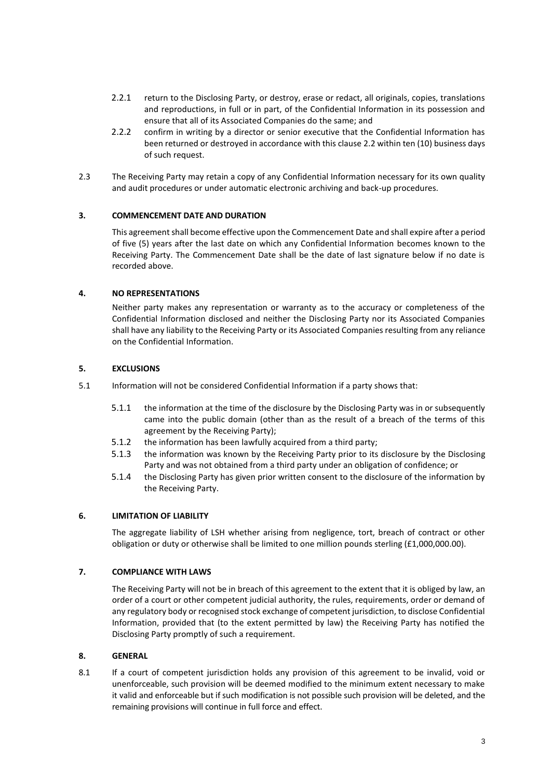- 2.2.1 return to the Disclosing Party, or destroy, erase or redact, all originals, copies, translations and reproductions, in full or in part, of the Confidential Information in its possession and ensure that all of its Associated Companies do the same; and
- 2.2.2 confirm in writing by a director or senior executive that the Confidential Information has been returned or destroyed in accordance with this clause [2.2](#page-0-0) within ten (10) business days of such request.
- 2.3 The Receiving Party may retain a copy of any Confidential Information necessary for its own quality and audit procedures or under automatic electronic archiving and back-up procedures.

## **3. COMMENCEMENT DATE AND DURATION**

This agreement shall become effective upon the Commencement Date and shall expire after a period of five (5) years after the last date on which any Confidential Information becomes known to the Receiving Party. The Commencement Date shall be the date of last signature below if no date is recorded above.

#### **4. NO REPRESENTATIONS**

Neither party makes any representation or warranty as to the accuracy or completeness of the Confidential Information disclosed and neither the Disclosing Party nor its Associated Companies shall have any liability to the Receiving Party or its Associated Companies resulting from any reliance on the Confidential Information.

## **5. EXCLUSIONS**

- 5.1 Information will not be considered Confidential Information if a party shows that:
	- 5.1.1 the information at the time of the disclosure by the Disclosing Party was in or subsequently came into the public domain (other than as the result of a breach of the terms of this agreement by the Receiving Party);
	- 5.1.2 the information has been lawfully acquired from a third party;
	- 5.1.3 the information was known by the Receiving Party prior to its disclosure by the Disclosing Party and was not obtained from a third party under an obligation of confidence; or
	- 5.1.4 the Disclosing Party has given prior written consent to the disclosure of the information by the Receiving Party.

#### **6. LIMITATION OF LIABILITY**

The aggregate liability of LSH whether arising from negligence, tort, breach of contract or other obligation or duty or otherwise shall be limited to one million pounds sterling (£1,000,000.00).

## **7. COMPLIANCE WITH LAWS**

The Receiving Party will not be in breach of this agreement to the extent that it is obliged by law, an order of a court or other competent judicial authority, the rules, requirements, order or demand of any regulatory body or recognised stock exchange of competent jurisdiction, to disclose Confidential Information, provided that (to the extent permitted by law) the Receiving Party has notified the Disclosing Party promptly of such a requirement.

#### **8. GENERAL**

8.1 If a court of competent jurisdiction holds any provision of this agreement to be invalid, void or unenforceable, such provision will be deemed modified to the minimum extent necessary to make it valid and enforceable but if such modification is not possible such provision will be deleted, and the remaining provisions will continue in full force and effect.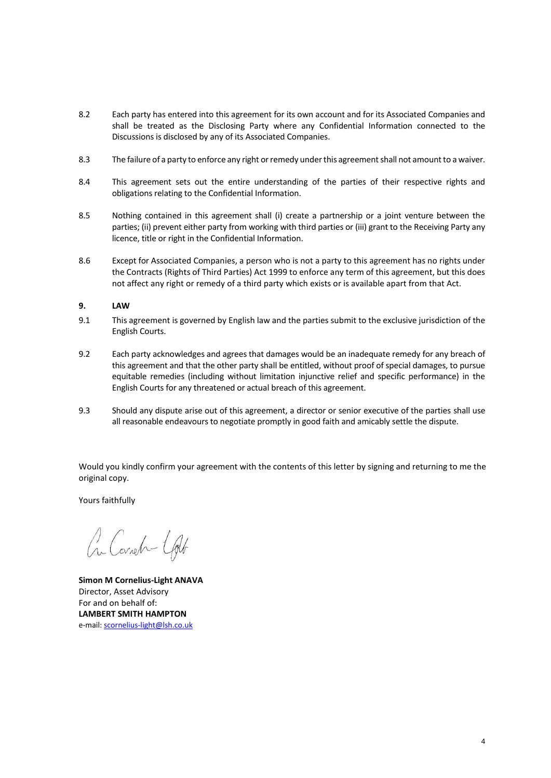- 8.2 Each party has entered into this agreement for its own account and for its Associated Companies and shall be treated as the Disclosing Party where any Confidential Information connected to the Discussions is disclosed by any of its Associated Companies.
- 8.3 The failure of a party to enforce any right or remedy under this agreement shall not amount to a waiver.
- 8.4 This agreement sets out the entire understanding of the parties of their respective rights and obligations relating to the Confidential Information.
- 8.5 Nothing contained in this agreement shall (i) create a partnership or a joint venture between the parties; (ii) prevent either party from working with third parties or (iii) grant to the Receiving Party any licence, title or right in the Confidential Information.
- 8.6 Except for Associated Companies, a person who is not a party to this agreement has no rights under the Contracts (Rights of Third Parties) Act 1999 to enforce any term of this agreement, but this does not affect any right or remedy of a third party which exists or is available apart from that Act.

## **9. LAW**

- 9.1 This agreement is governed by English law and the parties submit to the exclusive jurisdiction of the English Courts.
- 9.2 Each party acknowledges and agrees that damages would be an inadequate remedy for any breach of this agreement and that the other party shall be entitled, without proof of special damages, to pursue equitable remedies (including without limitation injunctive relief and specific performance) in the English Courts for any threatened or actual breach of this agreement.
- 9.3 Should any dispute arise out of this agreement, a director or senior executive of the parties shall use all reasonable endeavours to negotiate promptly in good faith and amicably settle the dispute.

Would you kindly confirm your agreement with the contents of this letter by signing and returning to me the original copy.

Yours faithfully

Cr. Cornela - Colt

**Simon M Cornelius-Light ANAVA** Director, Asset Advisory For and on behalf of: **LAMBERT SMITH HAMPTON** e-mail[: scornelius-light@lsh.co.uk](mailto:scornelius-light@lsh.co.uk)